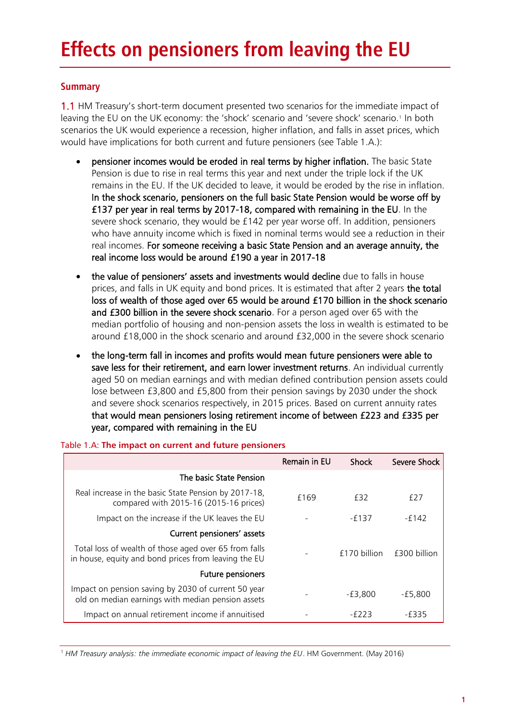# **Summary**

1.1 HM Treasury's short-term document presented two scenarios for the immediate impact of leaving the EU on the UK economy: the 'shock' scenario and 'severe shock' scenario.<sup>1</sup> In both scenarios the UK would experience a recession, higher inflation, and falls in asset prices, which would have implications for both current and future pensioners (see Table 1.A.):

- pensioner incomes would be eroded in real terms by higher inflation. The basic State Pension is due to rise in real terms this year and next under the triple lock if the UK remains in the EU. If the UK decided to leave, it would be eroded by the rise in inflation. In the shock scenario, pensioners on the full basic State Pension would be worse off by £137 per year in real terms by 2017-18, compared with remaining in the EU. In the severe shock scenario, they would be £142 per year worse off. In addition, pensioners who have annuity income which is fixed in nominal terms would see a reduction in their real incomes. For someone receiving a basic State Pension and an average annuity, the real income loss would be around £190 a year in 2017-18
- the value of pensioners' assets and investments would decline due to falls in house prices, and falls in UK equity and bond prices. It is estimated that after 2 years the total loss of wealth of those aged over 65 would be around £170 billion in the shock scenario and £300 billion in the severe shock scenario. For a person aged over 65 with the median portfolio of housing and non-pension assets the loss in wealth is estimated to be around £18,000 in the shock scenario and around £32,000 in the severe shock scenario
- the long-term fall in incomes and profits would mean future pensioners were able to save less for their retirement, and earn lower investment returns. An individual currently aged 50 on median earnings and with median defined contribution pension assets could lose between £3,800 and £5,800 from their pension savings by 2030 under the shock and severe shock scenarios respectively, in 2015 prices. Based on current annuity rates that would mean pensioners losing retirement income of between £223 and £335 per year, compared with remaining in the EU

|                                                                                                               | Remain in EU | Shock        | Severe Shock |
|---------------------------------------------------------------------------------------------------------------|--------------|--------------|--------------|
| The basic State Pension                                                                                       |              |              |              |
| Real increase in the basic State Pension by 2017-18,<br>compared with 2015-16 (2015-16 prices)                | £169         | f32          | £27          |
| Impact on the increase if the UK leaves the EU                                                                |              | $-6137$      | -f142        |
| Current pensioners' assets                                                                                    |              |              |              |
| Total loss of wealth of those aged over 65 from falls<br>in house, equity and bond prices from leaving the EU |              | f170 billion | £300 billion |
| <b>Future pensioners</b>                                                                                      |              |              |              |
| Impact on pension saving by 2030 of current 50 year<br>old on median earnings with median pension assets      |              | -£3,800      | $-£5,800$    |
| Impact on annual retirement income if annuitised                                                              |              | -6223        | -f335        |

## Table 1.A: **The impact on current and future pensioners**

<sup>1</sup> *HM Treasury analysis: the immediate economic impact of leaving the EU*. HM Government. (May 2016)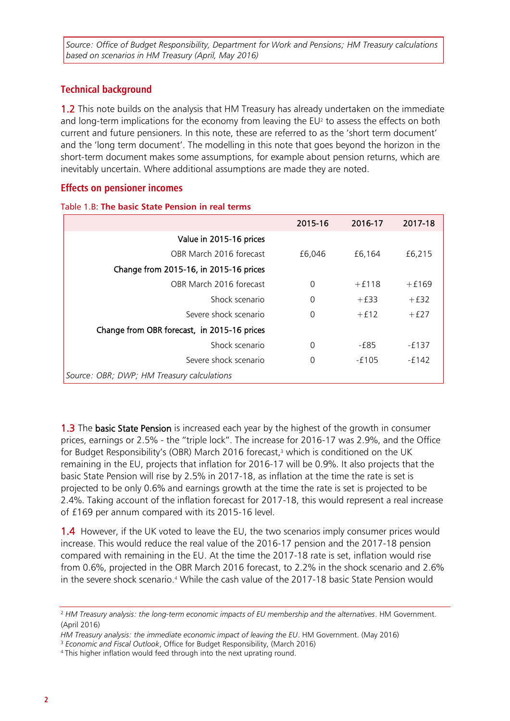*Source: Office of Budget Responsibility, Department for Work and Pensions; HM Treasury calculations based on scenarios in HM Treasury (April, May 2016)*

# **Technical background**

1.2 This note builds on the analysis that HM Treasury has already undertaken on the immediate and long-term implications for the economy from leaving the  $EU^2$  to assess the effects on both current and future pensioners. In this note, these are referred to as the 'short term document' and the 'long term document'. The modelling in this note that goes beyond the horizon in the short-term document makes some assumptions, for example about pension returns, which are inevitably uncertain. Where additional assumptions are made they are noted.

## **Effects on pensioner incomes**

|  | Table 1.B: The basic State Pension in real terms |  |  |
|--|--------------------------------------------------|--|--|
|  |                                                  |  |  |

|                                             | 2015-16  | 2016-17  | 2017-18  |
|---------------------------------------------|----------|----------|----------|
| Value in 2015-16 prices                     |          |          |          |
| OBR March 2016 forecast                     | £6,046   | £6,164   | £6,215   |
| Change from 2015-16, in 2015-16 prices      |          |          |          |
| OBR March 2016 forecast                     | $\Omega$ | $+ f118$ | $+ f169$ |
| Shock scenario                              | 0        | $+£33$   | $+£32$   |
| Severe shock scenario                       | 0        | $+f12$   | $+£27$   |
| Change from OBR forecast, in 2015-16 prices |          |          |          |
| Shock scenario                              | 0        | -£85     | $-£137$  |
| Severe shock scenario                       | 0        | $-6105$  | $-6142$  |
| Source: OBR; DWP; HM Treasury calculations  |          |          |          |

1.3 The basic State Pension is increased each year by the highest of the growth in consumer prices, earnings or 2.5% - the "triple lock". The increase for 2016-17 was 2.9%, and the Office for Budget Responsibility's (OBR) March 2016 forecast, <sup>3</sup> which is conditioned on the UK remaining in the EU, projects that inflation for 2016-17 will be 0.9%. It also projects that the basic State Pension will rise by 2.5% in 2017-18, as inflation at the time the rate is set is projected to be only 0.6% and earnings growth at the time the rate is set is projected to be 2.4%. Taking account of the inflation forecast for 2017-18, this would represent a real increase of £169 per annum compared with its 2015-16 level.

1.4 However, if the UK voted to leave the EU, the two scenarios imply consumer prices would increase. This would reduce the real value of the 2016-17 pension and the 2017-18 pension compared with remaining in the EU. At the time the 2017-18 rate is set, inflation would rise from 0.6%, projected in the OBR March 2016 forecast, to 2.2% in the shock scenario and 2.6% in the severe shock scenario.<sup>4</sup> While the cash value of the 2017-18 basic State Pension would

<sup>2</sup> *HM Treasury analysis: the long-term economic impacts of EU membership and the alternatives*. HM Government. (April 2016)

*HM Treasury analysis: the immediate economic impact of leaving the EU*. HM Government. (May 2016)

<sup>3</sup> *Economic and Fiscal Outlook*, Office for Budget Responsibility, (March 2016)

<sup>4</sup> This higher inflation would feed through into the next uprating round.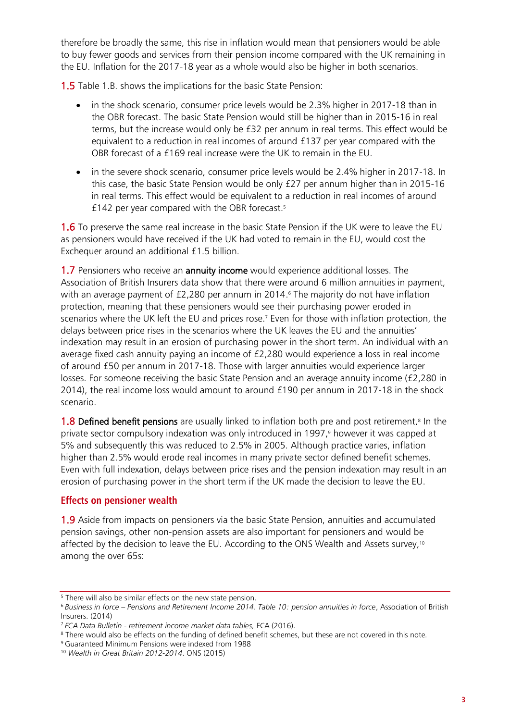therefore be broadly the same, this rise in inflation would mean that pensioners would be able to buy fewer goods and services from their pension income compared with the UK remaining in the EU. Inflation for the 2017-18 year as a whole would also be higher in both scenarios.

1.5 Table 1.B. shows the implications for the basic State Pension:

- in the shock scenario, consumer price levels would be 2.3% higher in 2017-18 than in the OBR forecast. The basic State Pension would still be higher than in 2015-16 in real terms, but the increase would only be £32 per annum in real terms. This effect would be equivalent to a reduction in real incomes of around £137 per year compared with the OBR forecast of a £169 real increase were the UK to remain in the EU.
- in the severe shock scenario, consumer price levels would be 2.4% higher in 2017-18. In this case, the basic State Pension would be only £27 per annum higher than in 2015-16 in real terms. This effect would be equivalent to a reduction in real incomes of around £142 per year compared with the OBR forecast. 5

**1.6** To preserve the same real increase in the basic State Pension if the UK were to leave the EU as pensioners would have received if the UK had voted to remain in the EU, would cost the Exchequer around an additional £1.5 billion.

1.7 Pensioners who receive an annuity income would experience additional losses. The Association of British Insurers data show that there were around 6 million annuities in payment, with an average payment of £2,280 per annum in 2014. <sup>6</sup> The majority do not have inflation protection, meaning that these pensioners would see their purchasing power eroded in scenarios where the UK left the EU and prices rose. <sup>7</sup> Even for those with inflation protection, the delays between price rises in the scenarios where the UK leaves the EU and the annuities' indexation may result in an erosion of purchasing power in the short term. An individual with an average fixed cash annuity paying an income of £2,280 would experience a loss in real income of around £50 per annum in 2017-18. Those with larger annuities would experience larger losses. For someone receiving the basic State Pension and an average annuity income (£2,280 in 2014), the real income loss would amount to around £190 per annum in 2017-18 in the shock scenario.

1.8 Defined benefit pensions are usually linked to inflation both pre and post retirement.<sup>8</sup> In the private sector compulsory indexation was only introduced in 1997, <sup>9</sup> however it was capped at 5% and subsequently this was reduced to 2.5% in 2005. Although practice varies, inflation higher than 2.5% would erode real incomes in many private sector defined benefit schemes. Even with full indexation, delays between price rises and the pension indexation may result in an erosion of purchasing power in the short term if the UK made the decision to leave the EU.

## **Effects on pensioner wealth**

1.9 Aside from impacts on pensioners via the basic State Pension, annuities and accumulated pension savings, other non-pension assets are also important for pensioners and would be affected by the decision to leave the EU. According to the ONS Wealth and Assets survey,10 among the over 65s:

<sup>&</sup>lt;sup>5</sup> There will also be similar effects on the new state pension.

<sup>6</sup> *Business in force – Pensions and Retirement Income 2014. Table 10: pension annuities in force*, Association of British Insurers. (2014)

<sup>7</sup> *FCA Data Bulletin - retirement income market data tables,* FCA (2016).

<sup>&</sup>lt;sup>8</sup> There would also be effects on the funding of defined benefit schemes, but these are not covered in this note.

<sup>9</sup> Guaranteed Minimum Pensions were indexed from 1988

<sup>10</sup> *Wealth in Great Britain 2012-2014*. ONS (2015)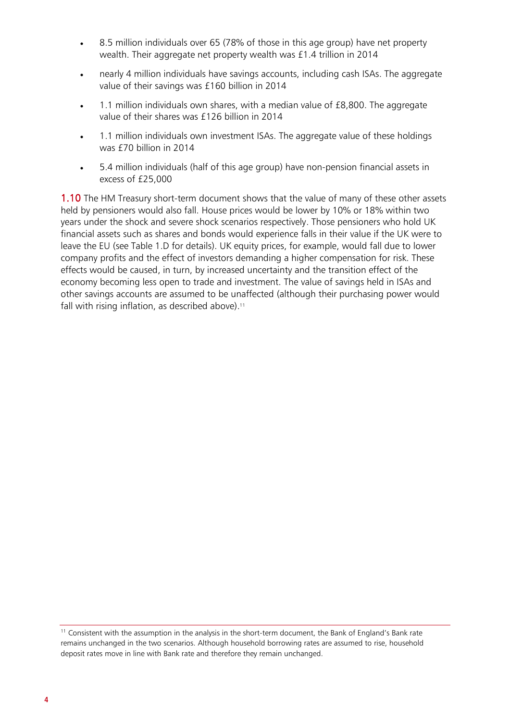- 8.5 million individuals over 65 (78% of those in this age group) have net property wealth. Their aggregate net property wealth was £1.4 trillion in 2014
- nearly 4 million individuals have savings accounts, including cash ISAs. The aggregate value of their savings was £160 billion in 2014
- 1.1 million individuals own shares, with a median value of £8,800. The aggregate value of their shares was £126 billion in 2014
- 1.1 million individuals own investment ISAs. The aggregate value of these holdings was £70 billion in 2014
- 5.4 million individuals (half of this age group) have non-pension financial assets in excess of £25,000

**1.10** The HM Treasury short-term document shows that the value of many of these other assets held by pensioners would also fall. House prices would be lower by 10% or 18% within two years under the shock and severe shock scenarios respectively. Those pensioners who hold UK financial assets such as shares and bonds would experience falls in their value if the UK were to leave the EU (see Table 1.D for details). UK equity prices, for example, would fall due to lower company profits and the effect of investors demanding a higher compensation for risk. These effects would be caused, in turn, by increased uncertainty and the transition effect of the economy becoming less open to trade and investment. The value of savings held in ISAs and other savings accounts are assumed to be unaffected (although their purchasing power would fall with rising inflation, as described above). 11

<sup>11</sup> Consistent with the assumption in the analysis in the short-term document, the Bank of England's Bank rate remains unchanged in the two scenarios. Although household borrowing rates are assumed to rise, household deposit rates move in line with Bank rate and therefore they remain unchanged.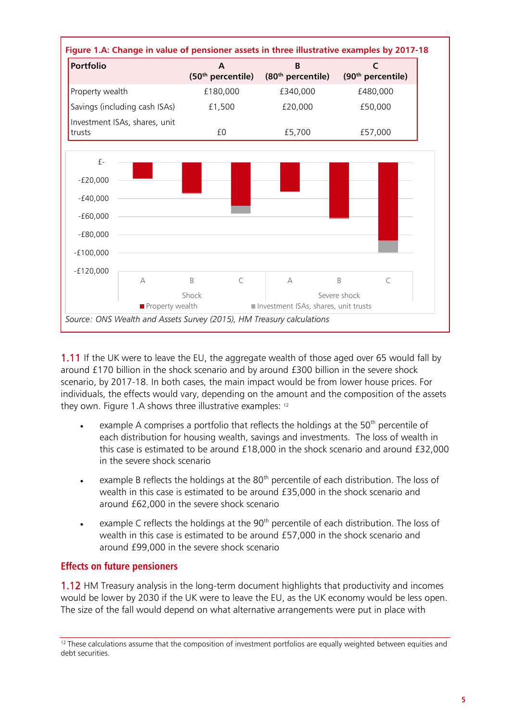

1.11 If the UK were to leave the EU, the aggregate wealth of those aged over 65 would fall by around £170 billion in the shock scenario and by around £300 billion in the severe shock scenario, by 2017-18. In both cases, the main impact would be from lower house prices. For individuals, the effects would vary, depending on the amount and the composition of the assets they own. Figure 1.A shows three illustrative examples: 12

- example A comprises a portfolio that reflects the holdings at the  $50<sup>th</sup>$  percentile of each distribution for housing wealth, savings and investments. The loss of wealth in this case is estimated to be around £18,000 in the shock scenario and around £32,000 in the severe shock scenario
- example B reflects the holdings at the 80<sup>th</sup> percentile of each distribution. The loss of wealth in this case is estimated to be around £35,000 in the shock scenario and around £62,000 in the severe shock scenario
- example C reflects the holdings at the  $90<sup>th</sup>$  percentile of each distribution. The loss of wealth in this case is estimated to be around £57,000 in the shock scenario and around £99,000 in the severe shock scenario

# **Effects on future pensioners**

1.12 HM Treasury analysis in the long-term document highlights that productivity and incomes would be lower by 2030 if the UK were to leave the EU, as the UK economy would be less open. The size of the fall would depend on what alternative arrangements were put in place with

<sup>&</sup>lt;sup>12</sup> These calculations assume that the composition of investment portfolios are equally weighted between equities and debt securities.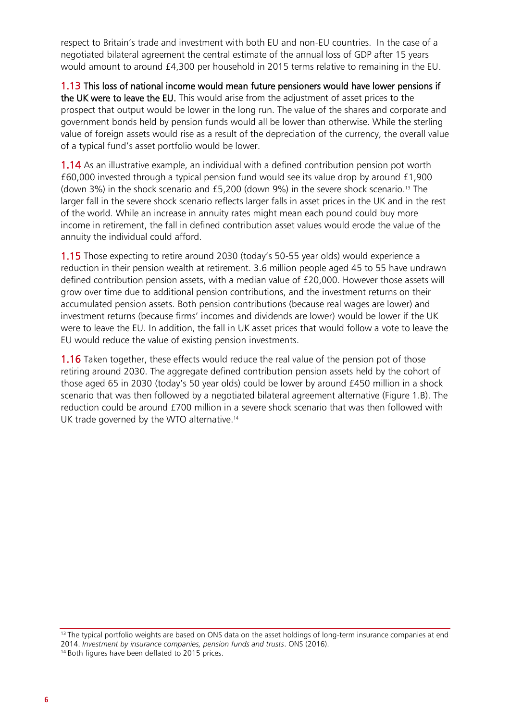respect to Britain's trade and investment with both EU and non-EU countries. In the case of a negotiated bilateral agreement the central estimate of the annual loss of GDP after 15 years would amount to around £4,300 per household in 2015 terms relative to remaining in the EU.

1.13 This loss of national income would mean future pensioners would have lower pensions if the UK were to leave the EU. This would arise from the adjustment of asset prices to the prospect that output would be lower in the long run. The value of the shares and corporate and government bonds held by pension funds would all be lower than otherwise. While the sterling value of foreign assets would rise as a result of the depreciation of the currency, the overall value of a typical fund's asset portfolio would be lower.

1.14 As an illustrative example, an individual with a defined contribution pension pot worth £60,000 invested through a typical pension fund would see its value drop by around £1,900 (down 3%) in the shock scenario and £5,200 (down 9%) in the severe shock scenario. <sup>13</sup> The larger fall in the severe shock scenario reflects larger falls in asset prices in the UK and in the rest of the world. While an increase in annuity rates might mean each pound could buy more income in retirement, the fall in defined contribution asset values would erode the value of the annuity the individual could afford.

1.15 Those expecting to retire around 2030 (today's 50-55 year olds) would experience a reduction in their pension wealth at retirement. 3.6 million people aged 45 to 55 have undrawn defined contribution pension assets, with a median value of £20,000. However those assets will grow over time due to additional pension contributions, and the investment returns on their accumulated pension assets. Both pension contributions (because real wages are lower) and investment returns (because firms' incomes and dividends are lower) would be lower if the UK were to leave the EU. In addition, the fall in UK asset prices that would follow a vote to leave the EU would reduce the value of existing pension investments.

**1.16** Taken together, these effects would reduce the real value of the pension pot of those retiring around 2030. The aggregate defined contribution pension assets held by the cohort of those aged 65 in 2030 (today's 50 year olds) could be lower by around £450 million in a shock scenario that was then followed by a negotiated bilateral agreement alternative (Figure 1.B). The reduction could be around £700 million in a severe shock scenario that was then followed with UK trade governed by the WTO alternative.<sup>14</sup>

 $13$  The typical portfolio weights are based on ONS data on the asset holdings of long-term insurance companies at end 2014. *Investment by insurance companies, pension funds and trusts*. ONS (2016). <sup>14</sup> Both figures have been deflated to 2015 prices.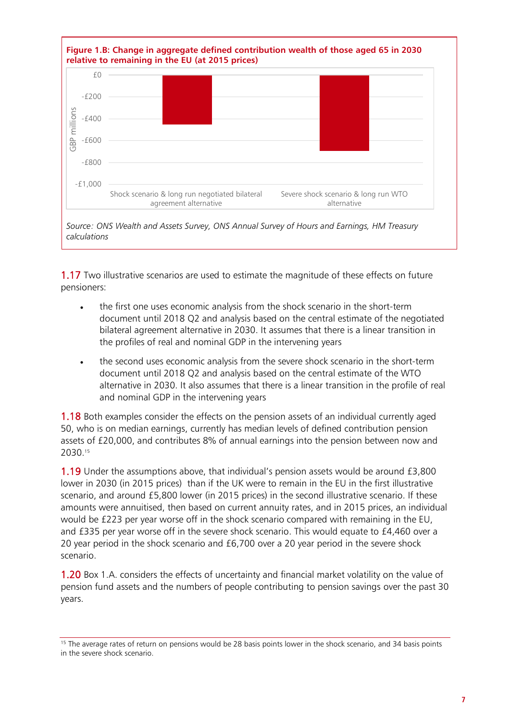

1.17 Two illustrative scenarios are used to estimate the magnitude of these effects on future pensioners:

- the first one uses economic analysis from the shock scenario in the short-term document until 2018 Q2 and analysis based on the central estimate of the negotiated bilateral agreement alternative in 2030. It assumes that there is a linear transition in the profiles of real and nominal GDP in the intervening years
- the second uses economic analysis from the severe shock scenario in the short-term document until 2018 Q2 and analysis based on the central estimate of the WTO alternative in 2030. It also assumes that there is a linear transition in the profile of real and nominal GDP in the intervening years

1.18 Both examples consider the effects on the pension assets of an individual currently aged 50, who is on median earnings, currently has median levels of defined contribution pension assets of £20,000, and contributes 8% of annual earnings into the pension between now and 2030. 15

1.19 Under the assumptions above, that individual's pension assets would be around £3,800 lower in 2030 (in 2015 prices) than if the UK were to remain in the EU in the first illustrative scenario, and around £5,800 lower (in 2015 prices) in the second illustrative scenario. If these amounts were annuitised, then based on current annuity rates, and in 2015 prices, an individual would be £223 per year worse off in the shock scenario compared with remaining in the EU, and £335 per year worse off in the severe shock scenario. This would equate to £4,460 over a 20 year period in the shock scenario and £6,700 over a 20 year period in the severe shock scenario.

1.20 Box 1.A. considers the effects of uncertainty and financial market volatility on the value of pension fund assets and the numbers of people contributing to pension savings over the past 30 years.

<sup>&</sup>lt;sup>15</sup> The average rates of return on pensions would be 28 basis points lower in the shock scenario, and 34 basis points in the severe shock scenario.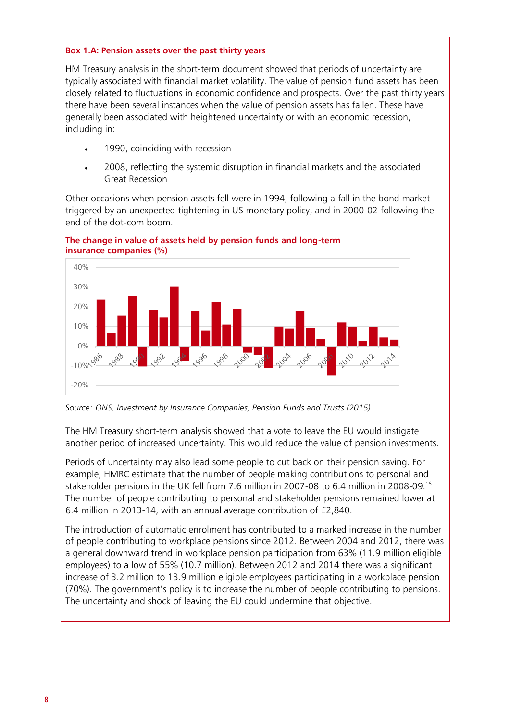### **Box 1.A: Pension assets over the past thirty years**

HM Treasury analysis in the short-term document showed that periods of uncertainty are typically associated with financial market volatility. The value of pension fund assets has been closely related to fluctuations in economic confidence and prospects. Over the past thirty years there have been several instances when the value of pension assets has fallen. These have generally been associated with heightened uncertainty or with an economic recession, including in:

- 1990, coinciding with recession
- 2008, reflecting the systemic disruption in financial markets and the associated Great Recession

Other occasions when pension assets fell were in 1994, following a fall in the bond market triggered by an unexpected tightening in US monetary policy, and in 2000-02 following the end of the dot-com boom.





*Source: ONS, Investment by Insurance Companies, Pension Funds and Trusts (2015)*

The HM Treasury short-term analysis showed that a vote to leave the EU would instigate another period of increased uncertainty. This would reduce the value of pension investments.

Periods of uncertainty may also lead some people to cut back on their pension saving. For example, HMRC estimate that the number of people making contributions to personal and stakeholder pensions in the UK fell from 7.6 million in 2007-08 to 6.4 million in 2008-09.<sup>16</sup> The number of people contributing to personal and stakeholder pensions remained lower at 6.4 million in 2013-14, with an annual average contribution of £2,840.

The introduction of automatic enrolment has contributed to a marked increase in the number of people contributing to workplace pensions since 2012. Between 2004 and 2012, there was a general downward trend in workplace pension participation from 63% (11.9 million eligible employees) to a low of 55% (10.7 million). Between 2012 and 2014 there was a significant increase of 3.2 million to 13.9 million eligible employees participating in a workplace pension (70%). The government's policy is to increase the number of people contributing to pensions. The uncertainty and shock of leaving the EU could undermine that objective.